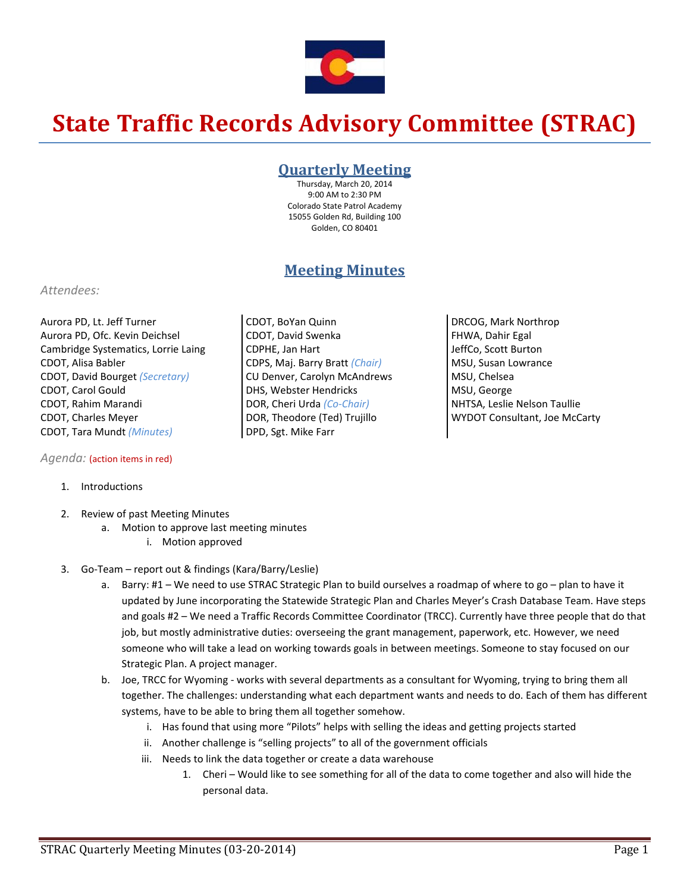

# **State Traffic Records Advisory Committee (STRAC)**

### **Quarterly Meeting**

Thursday, March 20, 2014 9:00 AM to 2:30 PM Colorado State Patrol Academy 15055 Golden Rd, Building 100 Golden, CO 80401

## **Meeting Minutes**

#### *Attendees:*

Aurora PD, Lt. Jeff Turner Aurora PD, Ofc. Kevin Deichsel Cambridge Systematics, Lorrie Laing CDOT, Alisa Babler CDOT, David Bourget *(Secretary)* CDOT, Carol Gould CDOT, Rahim Marandi CDOT, Charles Meyer CDOT, Tara Mundt *(Minutes)*

#### *Agenda:* (action items in red)

- 1. Introductions
- 2. Review of past Meeting Minutes
	- a. Motion to approve last meeting minutes
		- i. Motion approved
- 3. Go‐Team report out & findings (Kara/Barry/Leslie)
	- a. Barry: #1 We need to use STRAC Strategic Plan to build ourselves a roadmap of where to go plan to have it updated by June incorporating the Statewide Strategic Plan and Charles Meyer's Crash Database Team. Have steps and goals #2 – We need a Traffic Records Committee Coordinator (TRCC). Currently have three people that do that job, but mostly administrative duties: overseeing the grant management, paperwork, etc. However, we need someone who will take a lead on working towards goals in between meetings. Someone to stay focused on our Strategic Plan. A project manager.
	- b. Joe, TRCC for Wyoming ‐ works with several departments as a consultant for Wyoming, trying to bring them all together. The challenges: understanding what each department wants and needs to do. Each of them has different systems, have to be able to bring them all together somehow.
		- i. Has found that using more "Pilots" helps with selling the ideas and getting projects started
		- ii. Another challenge is "selling projects" to all of the government officials
		- iii. Needs to link the data together or create a data warehouse
			- 1. Cheri Would like to see something for all of the data to come together and also will hide the personal data.
- CDOT, BoYan Quinn CDOT, David Swenka CDPHE, Jan Hart CDPS, Maj. Barry Bratt *(Chair)* CU Denver, Carolyn McAndrews DHS, Webster Hendricks DOR, Cheri Urda *(Co‐Chair)* DOR, Theodore (Ted) Trujillo DPD, Sgt. Mike Farr
- DRCOG, Mark Northrop FHWA, Dahir Egal JeffCo, Scott Burton MSU, Susan Lowrance MSU, Chelsea MSU, George NHTSA, Leslie Nelson Taullie WYDOT Consultant, Joe McCarty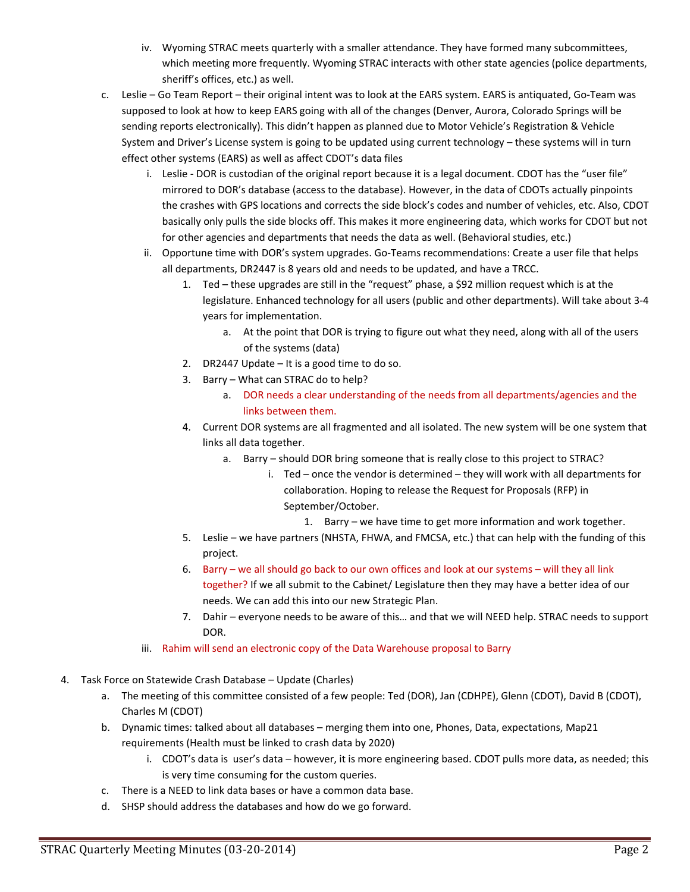- iv. Wyoming STRAC meets quarterly with a smaller attendance. They have formed many subcommittees, which meeting more frequently. Wyoming STRAC interacts with other state agencies (police departments, sheriff's offices, etc.) as well.
- c. Leslie Go Team Report their original intent was to look at the EARS system. EARS is antiquated, Go‐Team was supposed to look at how to keep EARS going with all of the changes (Denver, Aurora, Colorado Springs will be sending reports electronically). This didn't happen as planned due to Motor Vehicle's Registration & Vehicle System and Driver's License system is going to be updated using current technology – these systems will in turn effect other systems (EARS) as well as affect CDOT's data files
	- i. Leslie DOR is custodian of the original report because it is a legal document. CDOT has the "user file" mirrored to DOR's database (access to the database). However, in the data of CDOTs actually pinpoints the crashes with GPS locations and corrects the side block's codes and number of vehicles, etc. Also, CDOT basically only pulls the side blocks off. This makes it more engineering data, which works for CDOT but not for other agencies and departments that needs the data as well. (Behavioral studies, etc.)
	- ii. Opportune time with DOR's system upgrades. Go-Teams recommendations: Create a user file that helps all departments, DR2447 is 8 years old and needs to be updated, and have a TRCC.
		- 1. Ted these upgrades are still in the "request" phase, a \$92 million request which is at the legislature. Enhanced technology for all users (public and other departments). Will take about 3‐4 years for implementation.
			- a. At the point that DOR is trying to figure out what they need, along with all of the users of the systems (data)
		- 2. DR2447 Update It is a good time to do so.
		- 3. Barry What can STRAC do to help?
			- a. DOR needs a clear understanding of the needs from all departments/agencies and the links between them.
		- 4. Current DOR systems are all fragmented and all isolated. The new system will be one system that links all data together.
			- a. Barry should DOR bring someone that is really close to this project to STRAC?
				- i. Ted once the vendor is determined they will work with all departments for collaboration. Hoping to release the Request for Proposals (RFP) in September/October.
					- 1. Barry we have time to get more information and work together.
		- 5. Leslie we have partners (NHSTA, FHWA, and FMCSA, etc.) that can help with the funding of this project.
		- 6. Barry we all should go back to our own offices and look at our systems will they all link together? If we all submit to the Cabinet/ Legislature then they may have a better idea of our needs. We can add this into our new Strategic Plan.
		- 7. Dahir everyone needs to be aware of this… and that we will NEED help. STRAC needs to support DOR.
	- iii. Rahim will send an electronic copy of the Data Warehouse proposal to Barry
- 4. Task Force on Statewide Crash Database Update (Charles)
	- a. The meeting of this committee consisted of a few people: Ted (DOR), Jan (CDHPE), Glenn (CDOT), David B (CDOT), Charles M (CDOT)
	- b. Dynamic times: talked about all databases merging them into one, Phones, Data, expectations, Map21 requirements (Health must be linked to crash data by 2020)
		- i. CDOT's data is user's data however, it is more engineering based. CDOT pulls more data, as needed; this is very time consuming for the custom queries.
	- c. There is a NEED to link data bases or have a common data base.
	- d. SHSP should address the databases and how do we go forward.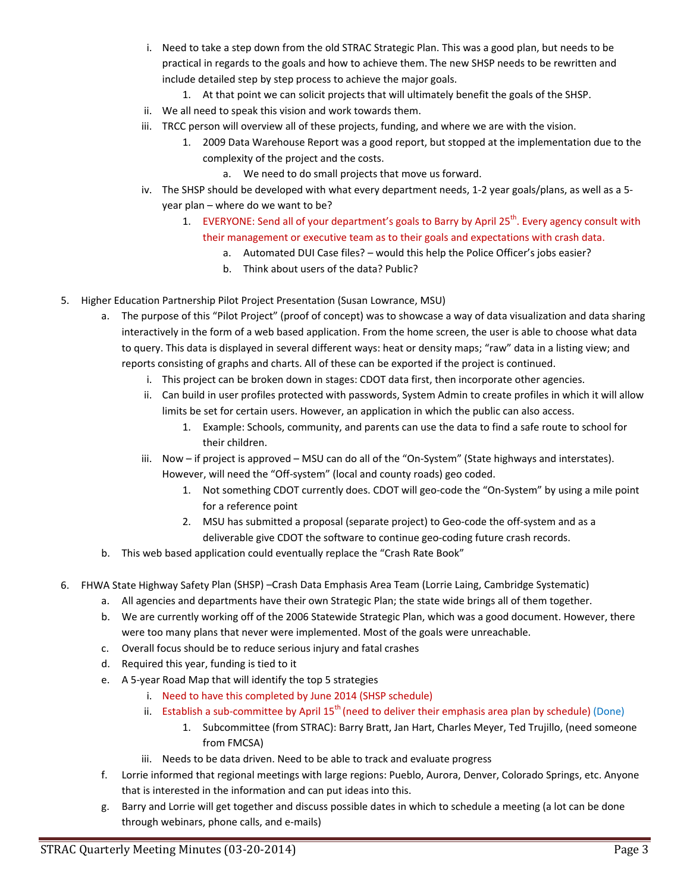- i. Need to take a step down from the old STRAC Strategic Plan. This was a good plan, but needs to be practical in regards to the goals and how to achieve them. The new SHSP needs to be rewritten and include detailed step by step process to achieve the major goals.
	- 1. At that point we can solicit projects that will ultimately benefit the goals of the SHSP.
- ii. We all need to speak this vision and work towards them.
- iii. TRCC person will overview all of these projects, funding, and where we are with the vision.
	- 1. 2009 Data Warehouse Report was a good report, but stopped at the implementation due to the complexity of the project and the costs.
		- a. We need to do small projects that move us forward.
- iv. The SHSP should be developed with what every department needs, 1‐2 year goals/plans, as well as a 5‐ year plan – where do we want to be?
	- 1. EVERYONE: Send all of your department's goals to Barry by April 25<sup>th</sup>. Every agency consult with their management or executive team as to their goals and expectations with crash data.
		- a. Automated DUI Case files? would this help the Police Officer's jobs easier?
		- b. Think about users of the data? Public?
- 5. Higher Education Partnership Pilot Project Presentation (Susan Lowrance, MSU)
	- a. The purpose of this "Pilot Project" (proof of concept) was to showcase a way of data visualization and data sharing interactively in the form of a web based application. From the home screen, the user is able to choose what data to query. This data is displayed in several different ways: heat or density maps; "raw" data in a listing view; and reports consisting of graphs and charts. All of these can be exported if the project is continued.
		- i. This project can be broken down in stages: CDOT data first, then incorporate other agencies.
		- ii. Can build in user profiles protected with passwords, System Admin to create profiles in which it will allow limits be set for certain users. However, an application in which the public can also access.
			- 1. Example: Schools, community, and parents can use the data to find a safe route to school for their children.
		- iii. Now if project is approved MSU can do all of the "On-System" (State highways and interstates). However, will need the "Off‐system" (local and county roads) geo coded.
			- 1. Not something CDOT currently does. CDOT will geo-code the "On-System" by using a mile point for a reference point
			- 2. MSU has submitted a proposal (separate project) to Geo-code the off-system and as a deliverable give CDOT the software to continue geo-coding future crash records.
	- b. This web based application could eventually replace the "Crash Rate Book"
- 6. FHWA State Highway Safety Plan (SHSP) –Crash Data Emphasis Area Team (Lorrie Laing, Cambridge Systematic)
	- a. All agencies and departments have their own Strategic Plan; the state wide brings all of them together.
	- b. We are currently working off of the 2006 Statewide Strategic Plan, which was a good document. However, there were too many plans that never were implemented. Most of the goals were unreachable.
	- c. Overall focus should be to reduce serious injury and fatal crashes
	- d. Required this year, funding is tied to it
	- e. A 5‐year Road Map that will identify the top 5 strategies
		- i. Need to have this completed by June 2014 (SHSP schedule)
		- ii. Establish a sub-committee by April  $15<sup>th</sup>$  (need to deliver their emphasis area plan by schedule) (Done)
			- 1. Subcommittee (from STRAC): Barry Bratt, Jan Hart, Charles Meyer, Ted Trujillo, (need someone from FMCSA)
		- iii. Needs to be data driven. Need to be able to track and evaluate progress
	- f. Lorrie informed that regional meetings with large regions: Pueblo, Aurora, Denver, Colorado Springs, etc. Anyone that is interested in the information and can put ideas into this.
	- g. Barry and Lorrie will get together and discuss possible dates in which to schedule a meeting (a lot can be done through webinars, phone calls, and e‐mails)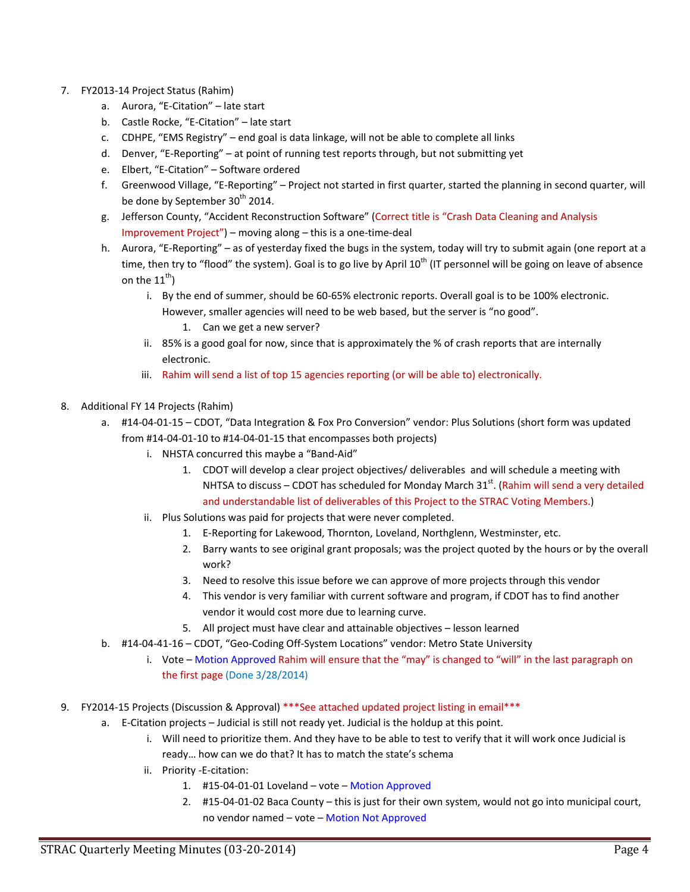- 7. FY2013‐14 Project Status (Rahim)
	- a. Aurora, "E‐Citation" late start
	- b. Castle Rocke, "E‐Citation" late start
	- c. CDHPE, "EMS Registry" end goal is data linkage, will not be able to complete all links
	- d. Denver, "E-Reporting" at point of running test reports through, but not submitting yet
	- e. Elbert, "E‐Citation" Software ordered
	- f. Greenwood Village, "E‐Reporting" Project not started in first quarter, started the planning in second quarter, will be done by September 30<sup>th</sup> 2014.
	- g. Jefferson County, "Accident Reconstruction Software" (Correct title is "Crash Data Cleaning and Analysis Improvement Project") – moving along – this is a one‐time‐deal
	- h. Aurora, "E-Reporting" as of yesterday fixed the bugs in the system, today will try to submit again (one report at a time, then try to "flood" the system). Goal is to go live by April  $10<sup>th</sup>$  (IT personnel will be going on leave of absence on the  $11^{\text{th}}$ )
		- i. By the end of summer, should be 60‐65% electronic reports. Overall goal is to be 100% electronic. However, smaller agencies will need to be web based, but the server is "no good".
			- 1. Can we get a new server?
		- ii. 85% is a good goal for now, since that is approximately the % of crash reports that are internally electronic.
		- iii. Rahim will send a list of top 15 agencies reporting (or will be able to) electronically.
- 8. Additional FY 14 Projects (Rahim)
	- a. #14‐04‐01‐15 CDOT, "Data Integration & Fox Pro Conversion" vendor: Plus Solutions (short form was updated from #14‐04‐01‐10 to #14‐04‐01‐15 that encompasses both projects)
		- i. NHSTA concurred this maybe a "Band‐Aid"
			- 1. CDOT will develop a clear project objectives/ deliverables and will schedule a meeting with NHTSA to discuss – CDOT has scheduled for Monday March 31 $^{\text{st}}$ . (Rahim will send a very detailed and understandable list of deliverables of this Project to the STRAC Voting Members.)
		- ii. Plus Solutions was paid for projects that were never completed.
			- 1. E-Reporting for Lakewood, Thornton, Loveland, Northglenn, Westminster, etc.
			- 2. Barry wants to see original grant proposals; was the project quoted by the hours or by the overall work?
			- 3. Need to resolve this issue before we can approve of more projects through this vendor
			- 4. This vendor is very familiar with current software and program, if CDOT has to find another vendor it would cost more due to learning curve.
			- 5. All project must have clear and attainable objectives lesson learned
	- b. #14‐04‐41‐16 CDOT, "Geo‐Coding Off‐System Locations" vendor: Metro State University
		- i. Vote Motion Approved Rahim will ensure that the "may" is changed to "will" in the last paragraph on the first page (Done 3/28/2014)
- 9. FY2014-15 Projects (Discussion & Approval) \*\*\*See attached updated project listing in email\*\*\*
	- a. E-Citation projects Judicial is still not ready yet. Judicial is the holdup at this point.
		- i. Will need to prioritize them. And they have to be able to test to verify that it will work once Judicial is ready… how can we do that? It has to match the state's schema
		- ii. Priority ‐E‐citation:
			- 1. #15‐04‐01‐01 Loveland vote Motion Approved
			- 2. #15‐04‐01‐02 Baca County this is just for their own system, would not go into municipal court, no vendor named – vote – Motion Not Approved